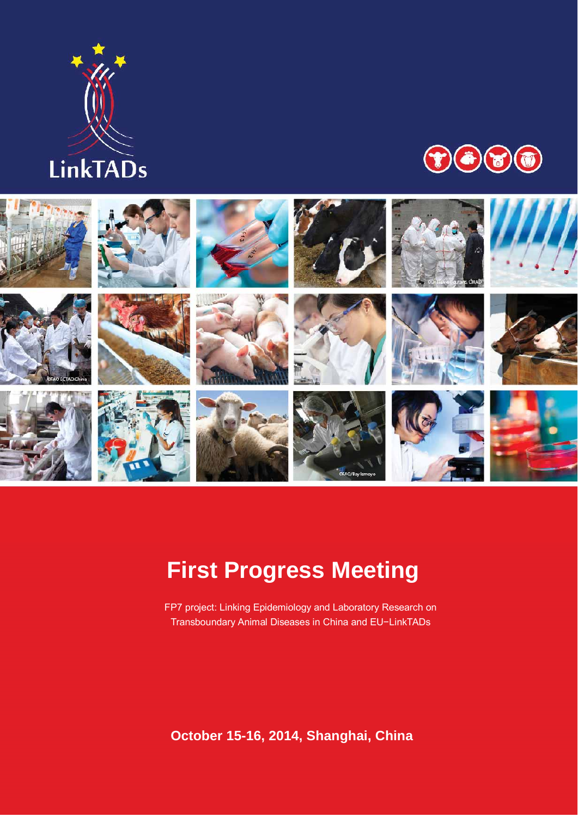





# **First Progress Meeting**

FP7 project: Linking Epidemiology and Laboratory Research on Transboundary Animal Diseases in China and EU−LinkTADs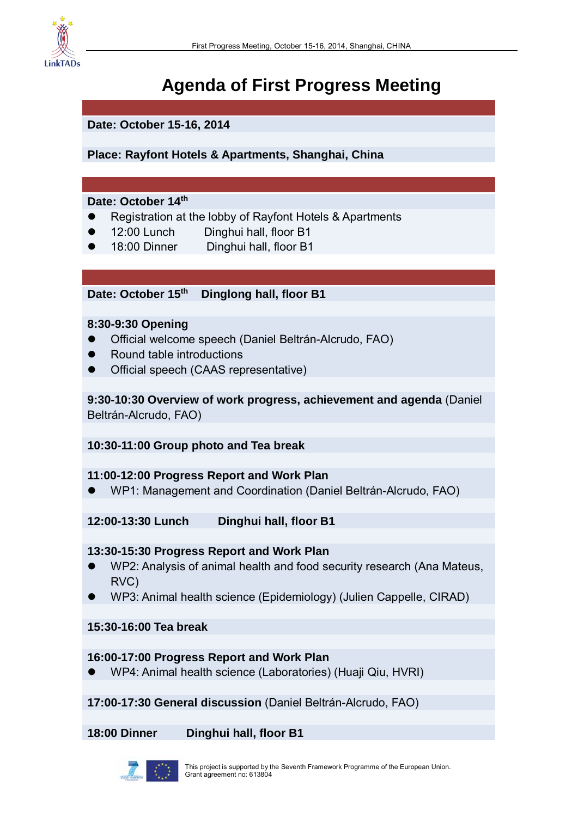

## **Agenda of First Progress Meeting**

**Date: October 15-16, 2014 Place: Rayfont Hotels & Apartments, Shanghai, China Date: October 14th**  Registration at the lobby of Rayfont Hotels & Apartments 12:00 Lunch Dinghui hall, floor B1 18:00 Dinner Dinghui hall, floor B1 **Date: October 15th Dinglong hall, floor B1 8:30-9:30 Opening**  Official welcome speech (Daniel Beltrán-Alcrudo, FAO) Round table introductions Official speech (CAAS representative) **9:30-10:30 Overview of work progress, achievement and agenda** (Daniel Beltrán-Alcrudo, FAO) **10:30-11:00 Group photo and Tea break** 

#### **11:00-12:00 Progress Report and Work Plan**

WP1: Management and Coordination (Daniel Beltrán-Alcrudo, FAO)

**12:00-13:30 Lunch Dinghui hall, floor B1** 

#### **13:30-15:30 Progress Report and Work Plan**

- WP2: Analysis of animal health and food security research (Ana Mateus, RVC)
- WP3: Animal health science (Epidemiology) (Julien Cappelle, CIRAD)

**15:30-16:00 Tea break** 

#### **16:00-17:00 Progress Report and Work Plan**

WP4: Animal health science (Laboratories) (Huaji Qiu, HVRI)

**17:00-17:30 General discussion** (Daniel Beltrán-Alcrudo, FAO)

**18:00 Dinner Dinghui hall, floor B1**